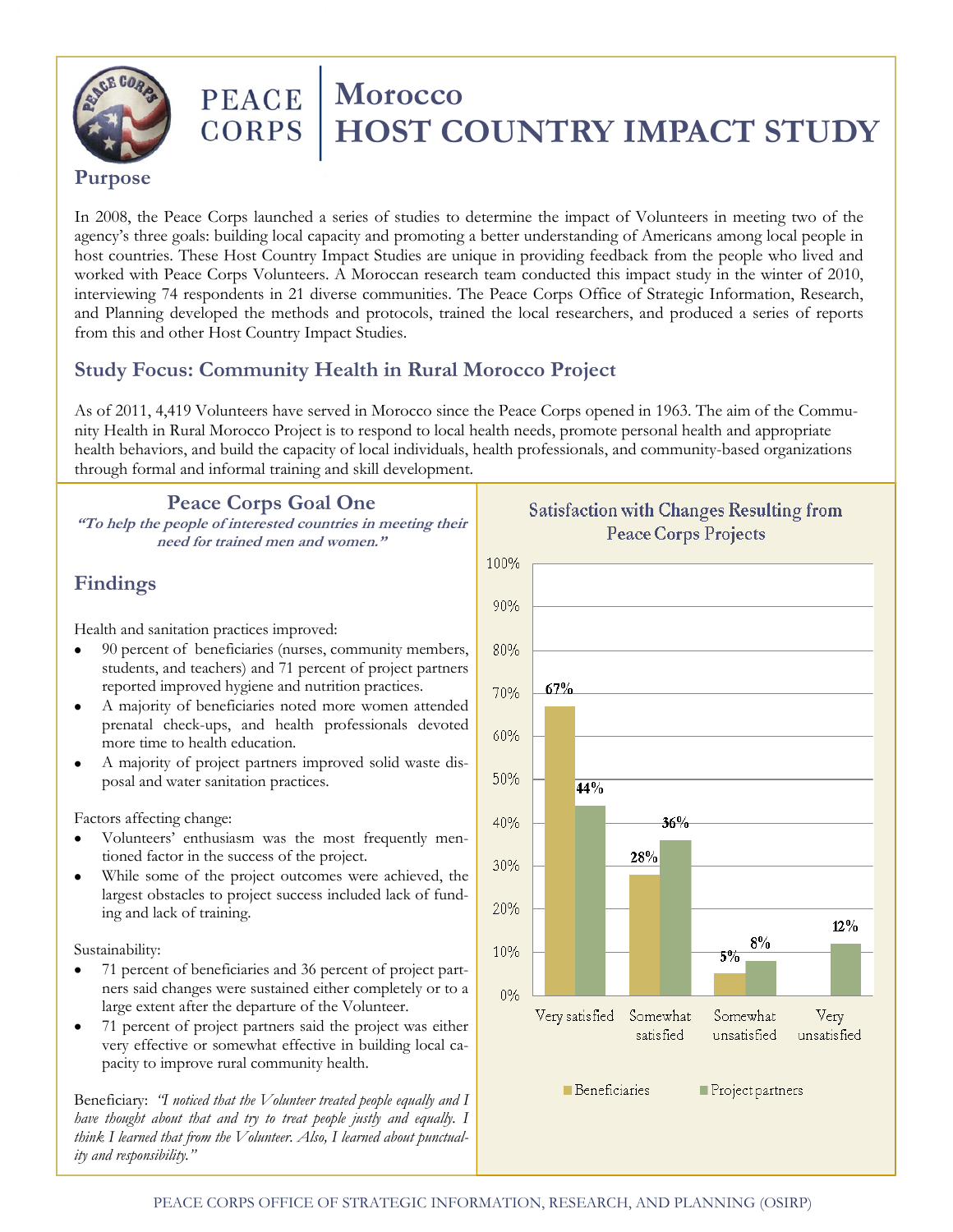

# **PEACE** | Morocco **CORPS | HOST COUNTRY IMPACT STUDY**

### **Purpose**

In 2008, the Peace Corps launched a series of studies to determine the impact of Volunteers in meeting two of the agency's three goals: building local capacity and promoting a better understanding of Americans among local people in host countries. These Host Country Impact Studies are unique in providing feedback from the people who lived and worked with Peace Corps Volunteers. A Moroccan research team conducted this impact study in the winter of 2010, interviewing 74 respondents in 21 diverse communities. The Peace Corps Office of Strategic Information, Research, and Planning developed the methods and protocols, trained the local researchers, and produced a series of reports from this and other Host Country Impact Studies.

# **Study Focus: Community Health in Rural Morocco Project**

As of 2011, 4,419 Volunteers have served in Morocco since the Peace Corps opened in 1963. The aim of the Community Health in Rural Morocco Project is to respond to local health needs, promote personal health and appropriate health behaviors, and build the capacity of local individuals, health professionals, and community-based organizations through formal and informal training and skill development.

**Peace Corps Goal One**

**"To help the people of interested countries in meeting their need for trained men and women."**

## **Findings**

Health and sanitation practices improved:

- 90 percent of beneficiaries (nurses, community members,  $\bullet$ students, and teachers) and 71 percent of project partners reported improved hygiene and nutrition practices.
- A majority of beneficiaries noted more women attended prenatal check-ups, and health professionals devoted more time to health education.
- A majority of project partners improved solid waste disposal and water sanitation practices.

Factors affecting change:

- Volunteers' enthusiasm was the most frequently mentioned factor in the success of the project.
- While some of the project outcomes were achieved, the largest obstacles to project success included lack of funding and lack of training.

#### Sustainability:

- 71 percent of beneficiaries and 36 percent of project part- $\bullet$ ners said changes were sustained either completely or to a large extent after the departure of the Volunteer.
- 71 percent of project partners said the project was either very effective or somewhat effective in building local capacity to improve rural community health.

Beneficiary: *"I noticed that the Volunteer treated people equally and I have thought about that and try to treat people justly and equally. I think I learned that from the Volunteer. Also, I learned about punctuality and responsibility."*